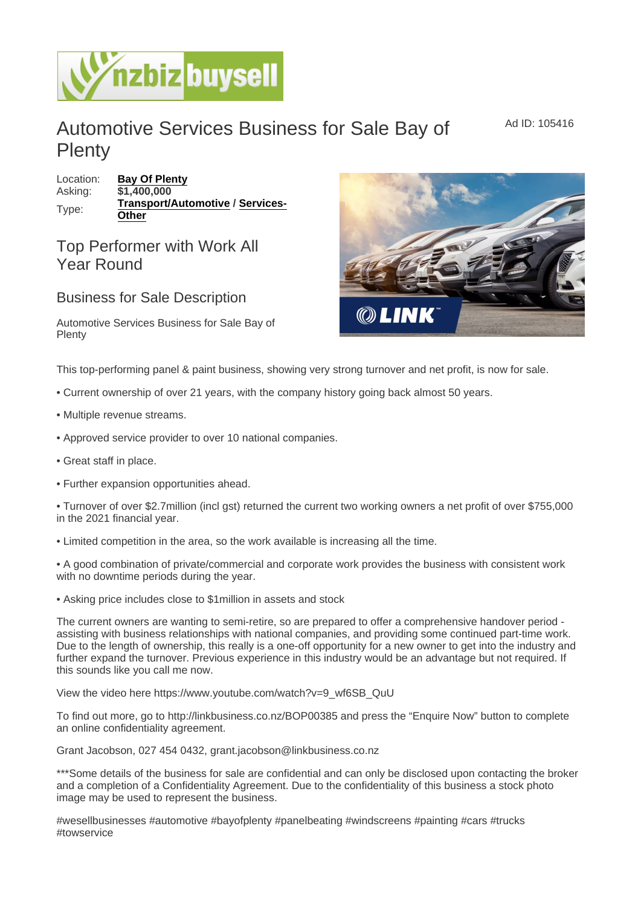## Automotive Services Business for Sale Bay of **Plenty**

Location: [Bay Of Plenty](https://www.nzbizbuysell.co.nz/businesses-for-sale/location/Bay-Of-Plenty) Asking: \$1,400,000 Type: [Transport/Automotive](https://www.nzbizbuysell.co.nz/businesses-for-sale/Transport--Automotive/New-Zealand) / [Services-](https://www.nzbizbuysell.co.nz/businesses-for-sale/Services/New-Zealand)**[Other](https://www.nzbizbuysell.co.nz/businesses-for-sale/Services/New-Zealand)** 

## Top Performer with Work All Year Round

## Business for Sale Description

Automotive Services Business for Sale Bay of Plenty

This top-performing panel & paint business, showing very strong turnover and net profit, is now for sale.

- Current ownership of over 21 years, with the company history going back almost 50 years.
- Multiple revenue streams.
- Approved service provider to over 10 national companies.
- Great staff in place.
- Further expansion opportunities ahead.

• Turnover of over \$2.7million (incl gst) returned the current two working owners a net profit of over \$755,000 in the 2021 financial year.

• Limited competition in the area, so the work available is increasing all the time.

• A good combination of private/commercial and corporate work provides the business with consistent work with no downtime periods during the year.

• Asking price includes close to \$1million in assets and stock

The current owners are wanting to semi-retire, so are prepared to offer a comprehensive handover period assisting with business relationships with national companies, and providing some continued part-time work. Due to the length of ownership, this really is a one-off opportunity for a new owner to get into the industry and further expand the turnover. Previous experience in this industry would be an advantage but not required. If this sounds like you call me now.

View the video here https://www.youtube.com/watch?v=9\_wf6SB\_QuU

To find out more, go to http://linkbusiness.co.nz/BOP00385 and press the "Enquire Now" button to complete an online confidentiality agreement.

Grant Jacobson, 027 454 0432, grant.jacobson@linkbusiness.co.nz

\*\*\*Some details of the business for sale are confidential and can only be disclosed upon contacting the broker and a completion of a Confidentiality Agreement. Due to the confidentiality of this business a stock photo image may be used to represent the business.

#wesellbusinesses #automotive #bayofplenty #panelbeating #windscreens #painting #cars #trucks #towservice